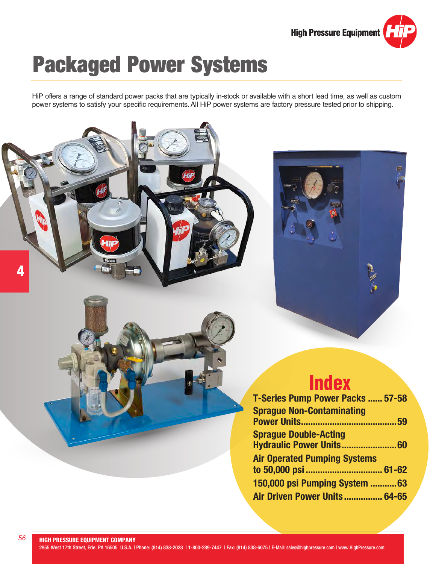

# Packaged Power Systems

HiP offers a range of standard power packs that are typically in-stock or available with a short lead time, as well as custom power systems to satisfy your specific requirements. All HiP power systems are factory pressure tested prior to shipping.

# **Index**

| T-Series Pump Power Packs  57-58    |
|-------------------------------------|
| <b>Sprague Non-Contaminating</b>    |
|                                     |
| <b>Sprague Double-Acting</b>        |
|                                     |
| <b>Air Operated Pumping Systems</b> |
| to 50,000 psi  61-62                |
| 150,000 psi Pumping System 63       |
| Air Driven Power Units 64-65        |

4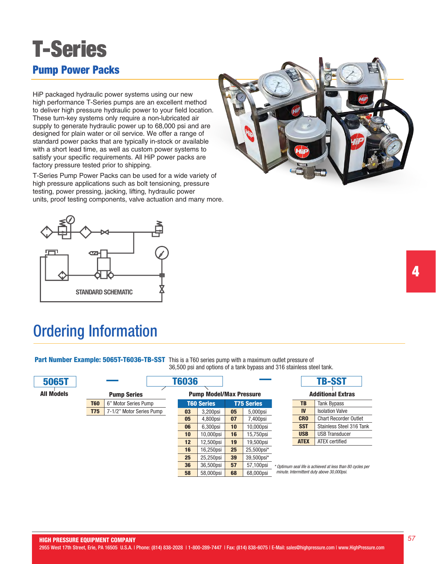

HiP packaged hydraulic power systems using our new high performance T-Series pumps are an excellent method to deliver high pressure hydraulic power to your field location. These turn-key systems only require a non-lubricated air supply to generate hydraulic power up to 68,000 psi and are designed for plain water or oil service. We offer a range of standard power packs that are typically in-stock or available with a short lead time, as well as custom power systems to satisfy your specific requirements. All HiP power packs are factory pressure tested prior to shipping.

T-Series Pump Power Packs can be used for a wide variety of high pressure applications such as bolt tensioning, pressure testing, power pressing, jacking, lifting, hydraulic power units, proof testing components, valve actuation and many more.





## Ordering Information

Part Number Example: 5065T-T6036-TB-SST This is a T60 series pump with a maximum outlet pressure of

36,500 psi and options of a tank bypass and 316 stainless steel tank.

| <b>5065T</b>      |                                        |                      | <b>T6036</b> |                                |    |                   |           |             | <b>TB-SST</b>                |
|-------------------|----------------------------------------|----------------------|--------------|--------------------------------|----|-------------------|-----------|-------------|------------------------------|
| <b>All Models</b> |                                        | <b>Pump Series</b>   |              | <b>Pump Model/Max Pressure</b> |    |                   |           |             | <b>Additional Extras</b>     |
|                   | <b>T60</b>                             | 6" Motor Series Pump |              | <b>T60 Series</b>              |    | <b>T75 Series</b> | <b>TB</b> |             | <b>Tank Bypass</b>           |
|                   | 7-1/2" Motor Series Pump<br><b>T75</b> |                      | 03           | 3,200psi                       | 05 | 5,000psi          |           | <b>IV</b>   | <b>Isolation Valve</b>       |
|                   |                                        |                      | 05           | 4,800psi                       | 07 | 7,400psi          |           | <b>CRO</b>  | <b>Chart Recorder Outlet</b> |
|                   |                                        |                      | 06           | 6,300psi                       | 10 | 10,000psi         |           | <b>SST</b>  | Stainless Steel 316 Tank     |
|                   |                                        |                      | 10           | 10,000psi                      | 16 | 15,750psi         |           | <b>USB</b>  | <b>USB Transducer</b>        |
|                   |                                        |                      | 12           | 12,500psi                      | 19 | 19,500psi         |           | <b>ATEX</b> | ATEX certified               |
|                   |                                        |                      | 16           | 16,250psi                      | 25 | 25,500psi*        |           |             |                              |
|                   |                                        |                      | 25           | 25,250psi                      | 39 | 39,500psi*        |           |             |                              |
|                   |                                        |                      | $\sim$       | 00000                          | -- | $-100$            |           |             |                              |

**58** 58,000psi **68** 68,000psi

**36** 36,500psi **57 57**,100psi \* optimum seal life is achieved at less than 80 cycles per *minute. Intermittent duty above 30,000psi.*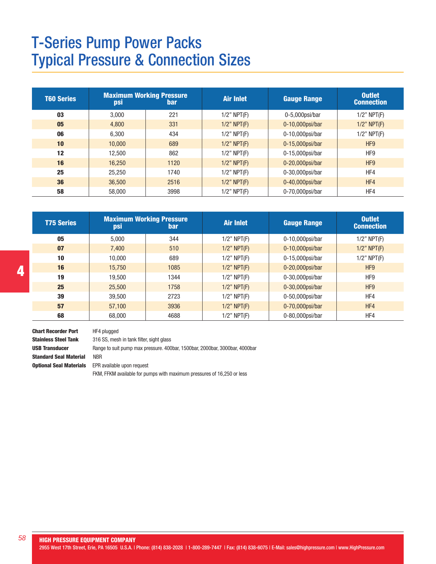## T-Series Pump Power Packs Typical Pressure & Connection Sizes

| T60 Series | psi    | <b>Maximum Working Pressure</b><br><b>bar</b> | <b>Air Inlet</b>  | <b>Gauge Range</b> | <b>Outlet</b><br><b>Connection</b> |
|------------|--------|-----------------------------------------------|-------------------|--------------------|------------------------------------|
| 03         | 3.000  | 221                                           | $1/2$ " NPT $(F)$ | $0-5,000$ psi/bar  | $1/2$ " NPT $(F)$                  |
| 05         | 4.800  | 331                                           | $1/2$ " NPT $(F)$ | $0-10,000$ psi/bar | $1/2$ " NPT $(F)$                  |
| 06         | 6.300  | 434                                           | $1/2$ " NPT $(F)$ | 0-10,000psi/bar    | $1/2$ " NPT $(F)$                  |
| 10         | 10.000 | 689                                           | $1/2$ " NPT $(F)$ | $0-15,000$ psi/bar | HF <sub>9</sub>                    |
| 12         | 12.500 | 862                                           | $1/2$ " NPT $(F)$ | $0-15,000$ psi/bar | HF9                                |
| 16         | 16.250 | 1120                                          | $1/2$ " NPT $(F)$ | $0-20,000$ psi/bar | HF <sub>9</sub>                    |
| 25         | 25.250 | 1740                                          | $1/2$ " NPT $(F)$ | $0-30,000$ psi/bar | HF4                                |
| 36         | 36,500 | 2516                                          | $1/2$ " NPT $(F)$ | 0-40,000psi/bar    | HF4                                |
| 58         | 58,000 | 3998                                          | $1/2$ " NPT $(F)$ | 0-70,000psi/bar    | HF4                                |

| <b>T75 Series</b> | psi    | <b>Maximum Working Pressure</b><br>bar | <b>Air Inlet</b>  | <b>Gauge Range</b> | <b>Outlet</b><br><b>Connection</b> |
|-------------------|--------|----------------------------------------|-------------------|--------------------|------------------------------------|
| 05                | 5.000  | 344                                    | $1/2$ " NPT $(F)$ | 0-10,000psi/bar    | $1/2$ " NPT $(F)$                  |
| 07                | 7.400  | 510                                    | $1/2$ " NPT $(F)$ | $0-10,000$ psi/bar | $1/2$ " NPT $(F)$                  |
| 10                | 10.000 | 689                                    | $1/2$ " NPT $(F)$ | 0-15,000psi/bar    | $1/2$ " NPT $(F)$                  |
| 16                | 15,750 | 1085                                   | $1/2$ " NPT $(F)$ | $0-20,000$ psi/bar | HF <sub>9</sub>                    |
| 19                | 19.500 | 1344                                   | $1/2$ " NPT $(F)$ | $0-30,000$ psi/bar | HF9                                |
| 25                | 25,500 | 1758                                   | $1/2$ " NPT $(F)$ | 0-30,000psi/bar    | HF <sub>9</sub>                    |
| 39                | 39,500 | 2723                                   | $1/2$ " NPT $(F)$ | 0-50,000psi/bar    | HF4                                |
| 57                | 57,100 | 3936                                   | $1/2$ " NPT $(F)$ | 0-70,000psi/bar    | HF4                                |
| 68                | 68,000 | 4688                                   | $1/2$ " NPT $(F)$ | 0-80,000psi/bar    | HF4                                |

Chart Recorder Port HF4 plugged Stainless Steel Tank 316 SS, mesh in tank filter, sight glass Standard Seal Material NBR **Optional Seal Materials** EPR available upon request

USB Transducer Range to suit pump max pressure. 400bar, 1500bar, 2000bar, 3000bar, 4000bar

FKM, FFKM available for pumps with maximum pressures of 16,250 or less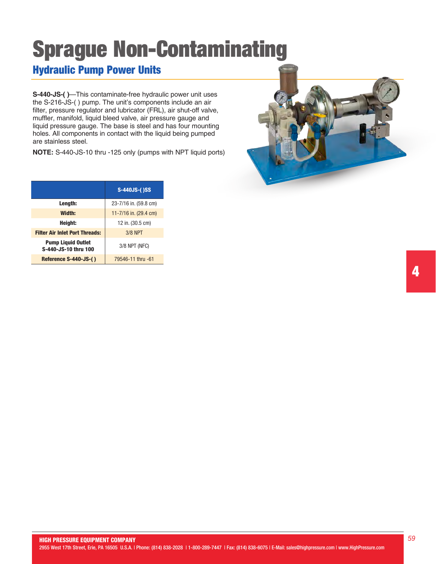# Sprague Non-Contaminating

## Hydraulic Pump Power Units

**S-440-JS-( )**—This contaminate-free hydraulic power unit uses the S-216-JS-( ) pump. The unit's components include an air filter, pressure regulator and lubricator (FRL), air shut-off valve, muffler, manifold, liquid bleed valve, air pressure gauge and liquid pressure gauge. The base is steel and has four mounting holes. All components in contact with the liquid being pumped are stainless steel.

**NOTE:** S-440-JS-10 thru -125 only (pumps with NPT liquid ports)

|                                                   | <b>S-440JS-()SS</b>   |
|---------------------------------------------------|-----------------------|
| Length:                                           | 23-7/16 in. (59.8 cm) |
| Width:                                            | 11-7/16 in. (29.4 cm) |
| Height:                                           | 12 in. (30.5 cm)      |
| <b>Filter Air Inlet Port Threads:</b>             | <b>3/8 NPT</b>        |
| <b>Pump Liquid Outlet</b><br>S-440-JS-10 thru 100 | 3/8 NPT (NFC)         |
| Reference S-440-JS-()                             | 79546-11 thru -61     |

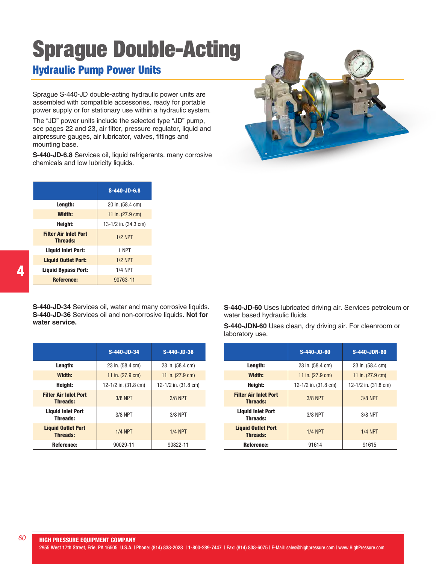# Sprague Double-Acting

## Hydraulic Pump Power Units

Sprague S-440-JD double-acting hydraulic power units are assembled with compatible accessories, ready for portable power supply or for stationary use within a hydraulic system.

The "JD" power units include the selected type "JD" pump, see pages 22 and 23, air filter, pressure regulator, liquid and airpressure gauges, air lubricator, valves, fittings and mounting base.

**S-440-JD-6.8** Services oil, liquid refrigerants, many corrosive chemicals and low lubricity liquids.

|                                                 | S-440-JD-6.8         |
|-------------------------------------------------|----------------------|
| Length:                                         | 20 in. (58.4 cm)     |
| Width:                                          | 11 in. (27.9 cm)     |
| Heiaht:                                         | 13-1/2 in. (34.3 cm) |
| <b>Filter Air Inlet Port</b><br><b>Threads:</b> | $1/2$ NPT            |
| <b>Liquid Inlet Port:</b>                       | 1 NPT                |
| <b>Liquid Outlet Port:</b>                      | $1/2$ NPT            |
| <b>Liquid Bypass Port:</b>                      | <b>1/4 NPT</b>       |
| Reference:                                      | 90763-11             |

**S-440-JD-34** Services oil, water and many corrosive liquids. **S-440-JD-36** Services oil and non-corrosive liquids. **Not for water service.**

|                                                 | S-440-JD-34          | S-440-JD-36          |
|-------------------------------------------------|----------------------|----------------------|
| Length:                                         | 23 in. (58.4 cm)     | 23 in. (58.4 cm)     |
| Width:                                          | 11 in. (27.9 cm)     | 11 in. (27.9 cm)     |
| Height:                                         | 12-1/2 in. (31.8 cm) | 12-1/2 in. (31.8 cm) |
| <b>Filter Air Inlet Port</b><br><b>Threads:</b> | 3/8 NPT              | $3/8$ NPT            |
| <b>Liquid Inlet Port</b><br><b>Threads:</b>     | $3/8$ NPT            | 3/8 NPT              |
| <b>Liquid Outlet Port</b><br><b>Threads:</b>    | $1/4$ NPT            | $1/4$ NPT            |
| Reference:                                      | 90029-11             | 90822-11             |

**S-440-JD-60** Uses lubricated driving air. Services petroleum or water based hydraulic fluids.

**S-440-JDN-60** Uses clean, dry driving air. For cleanroom or laboratory use.

|                                                 | S-440-JD-60          | <b>S-440-JDN-60</b>  |
|-------------------------------------------------|----------------------|----------------------|
| Length:                                         | 23 in. (58.4 cm)     | 23 in. (58.4 cm)     |
| Width:                                          | 11 in. (27.9 cm)     | 11 in. (27.9 cm)     |
| Height:                                         | 12-1/2 in. (31.8 cm) | 12-1/2 in. (31.8 cm) |
| <b>Filter Air Inlet Port</b><br><b>Threads:</b> | 3/8 NPT              | <b>3/8 NPT</b>       |
| <b>Liquid Inlet Port</b><br><b>Threads:</b>     | 3/8 NPT              | $3/8$ NPT            |
| <b>Liquid Outlet Port</b><br><b>Threads:</b>    | $1/4$ NPT            | $1/4$ NPT            |
| Reference:                                      | 91614                | 91615                |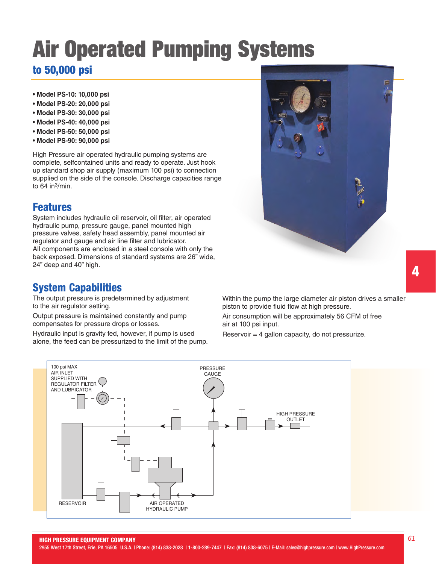# Air Operated Pumping Systems to 50,000 psi

- **Model PS-10: 10,000 psi**
- **Model PS-20: 20,000 psi**
- **Model PS-30: 30,000 psi**
- **Model PS-40: 40,000 psi**
- **Model PS-50: 50,000 psi**
- **Model PS-90: 90,000 psi**

High Pressure air operated hydraulic pumping systems are complete, selfcontained units and ready to operate. Just hook up standard shop air supply (maximum 100 psi) to connection supplied on the side of the console. Discharge capacities range to  $64$  in $3$ /min.

#### Features

System includes hydraulic oil reservoir, oil filter, air operated hydraulic pump, pressure gauge, panel mounted high pressure valves, safety head assembly, panel mounted air regulator and gauge and air line filter and lubricator. All components are enclosed in a steel console with only the back exposed. Dimensions of standard systems are 26" wide, 24" deep and 40" high.

#### System Capabilities

The output pressure is predetermined by adjustment to the air regulator setting.

Output pressure is maintained constantly and pump compensates for pressure drops or losses.

Hydraulic input is gravity fed, however, if pump is used alone, the feed can be pressurized to the limit of the pump.



Air consumption will be approximately 56 CFM of free air at 100 psi input.

Reservoir = 4 gallon capacity, do not pressurize.





HIGH PRESSURE EQUIPMENT COMPANY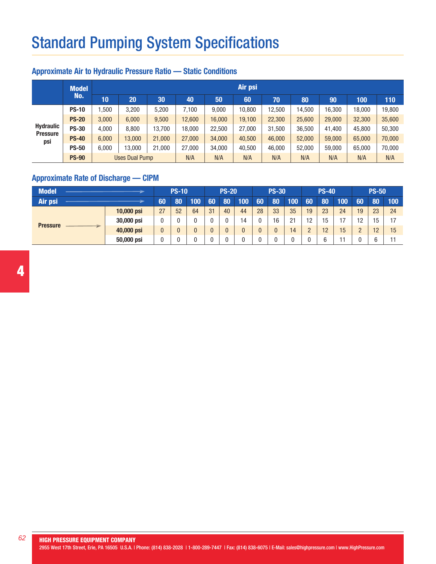# Standard Pumping System Specifications

#### Approximate Air to Hydraulic Pressure Ratio — Static Conditions

|                        | <b>Model</b> | Air psi               |        |        |        |        |        |        |        |        |        |        |  |  |  |
|------------------------|--------------|-----------------------|--------|--------|--------|--------|--------|--------|--------|--------|--------|--------|--|--|--|
|                        | No.          | 10                    | 20     | 30     | 40     | 50     | 60     | 70     | 80     | 90     | 100    | 110    |  |  |  |
|                        | <b>PS-10</b> | ,500                  | 3,200  | 5,200  | 7,100  | 9,000  | 10,800 | 12,500 | 14,500 | 16,300 | 18,000 | 19,800 |  |  |  |
|                        | <b>PS-20</b> | 3,000                 | 6,000  | 9.500  | 12,600 | 16,000 | 19,100 | 22,300 | 25,600 | 29,000 | 32,300 | 35,600 |  |  |  |
| <b>Hydraulic</b>       | <b>PS-30</b> | 4.000                 | 8,800  | 13.700 | 18,000 | 22,500 | 27,000 | 31,500 | 36,500 | 41.400 | 45.800 | 50,300 |  |  |  |
| <b>Pressure</b><br>psi | <b>PS-40</b> | 6.000                 | 13,000 | 21,000 | 27,000 | 34,000 | 40,500 | 46,000 | 52,000 | 59,000 | 65,000 | 70,000 |  |  |  |
|                        | <b>PS-50</b> | 6.000                 | 13,000 | 21,000 | 27,000 | 34,000 | 40,500 | 46,000 | 52,000 | 59.000 | 65.000 | 70,000 |  |  |  |
|                        | <b>PS-90</b> | <b>Uses Dual Pump</b> |        |        | N/A    | N/A    | N/A    | N/A    | N/A    | N/A    | N/A    | N/A    |  |  |  |

#### Approximate Rate of Discharge — CIPM

| <b>Model</b>    |            | <b>PS-10</b> |    | <b>PS-20</b> |    | <b>PS-30</b> |              | <b>PS-40</b> |    |     | <b>PS-50</b> |    |     |        |    |     |
|-----------------|------------|--------------|----|--------------|----|--------------|--------------|--------------|----|-----|--------------|----|-----|--------|----|-----|
| Air psi         |            | 60           | 80 | 100          | 60 | 80           | 100          | 60           | 80 | 100 | 60           | 80 | 100 | 60     | 80 | 100 |
|                 | 10,000 psi | 27           | 52 | 64           | 31 | 40           | 44           | 28           | 33 | 35  | 19           | 23 | 24  | 19     | 23 | 24  |
|                 | 30,000 psi |              |    |              |    |              | 14           |              | 16 | 21  | 12           | 15 | ィフ  | 12     | 15 | 17  |
| <b>Pressure</b> | 40,000 psi | U            |    |              |    |              | $\mathbf{0}$ |              |    | 14  |              | 12 | 15  | ŋ<br>┕ | 12 | 15  |
|                 | 50,000 psi |              |    |              |    |              |              |              |    |     |              |    |     |        |    |     |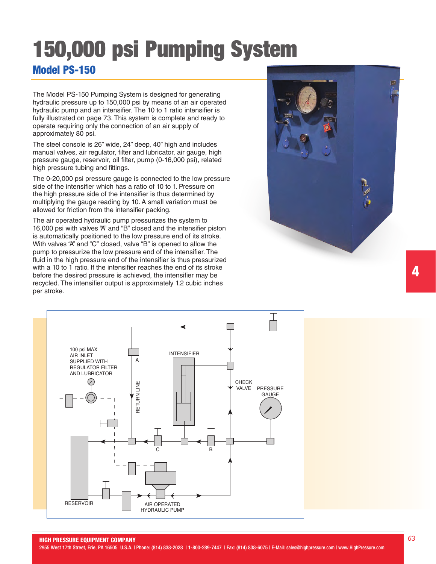# 150,000 psi Pumping System Model PS-150

The Model PS-150 Pumping System is designed for generating hydraulic pressure up to 150,000 psi by means of an air operated hydraulic pump and an intensifier. The 10 to 1 ratio intensifier is fully illustrated on page 73. This system is complete and ready to operate requiring only the connection of an air supply of approximately 80 psi.

The steel console is 26" wide, 24" deep, 40" high and includes manual valves, air regulator, filter and lubricator, air gauge, high pressure gauge, reservoir, oil filter, pump (0-16,000 psi), related high pressure tubing and fittings.

The 0-20,000 psi pressure gauge is connected to the low pressure side of the intensifier which has a ratio of 10 to 1. Pressure on the high pressure side of the intensifier is thus determined by multiplying the gauge reading by 10. A small variation must be allowed for friction from the intensifier packing.

The air operated hydraulic pump pressurizes the system to 16,000 psi with valves "A" and "B" closed and the intensifier piston is automatically positioned to the low pressure end of its stroke. With valves "A" and "C" closed, valve "B" is opened to allow the pump to pressurize the low pressure end of the intensifier. The fluid in the high pressure end of the intensifier is thus pressurized with a 10 to 1 ratio. If the intensifier reaches the end of its stroke before the desired pressure is achieved, the intensifier may be recycled. The intensifier output is approximately 1.2 cubic inches per stroke.



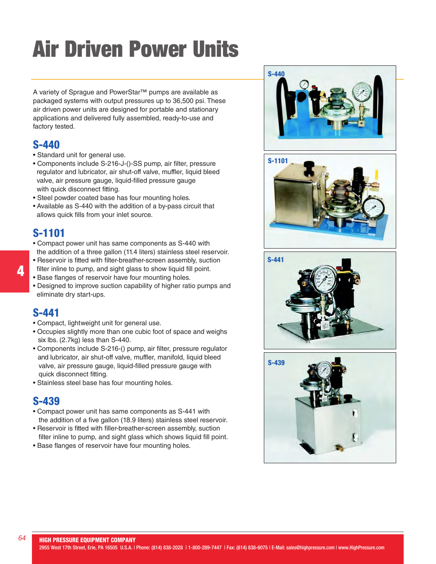# Air Driven Power Units

A variety of Sprague and PowerStar™ pumps are available as packaged systems with output pressures up to 36,500 psi. These air driven power units are designed for portable and stationary applications and delivered fully assembled, ready-to-use and factory tested.

### S-440

- Standard unit for general use.
- Components include S-216-J-()-SS pump, air filter, pressure regulator and lubricator, air shut-off valve, muffler, liquid bleed valve, air pressure gauge, liquid-filled pressure gauge with quick disconnect fitting.
- Steel powder coated base has four mounting holes.
- Available as S-440 with the addition of a by-pass circuit that allows quick fills from your inlet source.

### S-1101

- Compact power unit has same components as S-440 with the addition of a three gallon (11.4 liters) stainless steel reservoir.
- Reservoir is fitted with filter-breather-screen assembly, suction filter inline to pump, and sight glass to show liquid fill point.
- Base flanges of reservoir have four mounting holes.
- Designed to improve suction capability of higher ratio pumps and eliminate dry start-ups.

#### S-441

- Compact, lightweight unit for general use.
- Occupies slightly more than one cubic foot of space and weighs six lbs. (2.7kg) less than S-440.
- Components include S-216-() pump, air filter, pressure regulator and lubricator, air shut-off valve, muffler, manifold, liquid bleed valve, air pressure gauge, liquid-filled pressure gauge with quick disconnect fitting.
- Stainless steel base has four mounting holes.

### S-439

- Compact power unit has same components as S-441 with the addition of a five gallon (18.9 liters) stainless steel reservoir.
- Reservoir is fitted with filler-breather-screen assembly, suction filter inline to pump, and sight glass which shows liquid fill point.
- Base flanges of reservoir have four mounting holes.



4